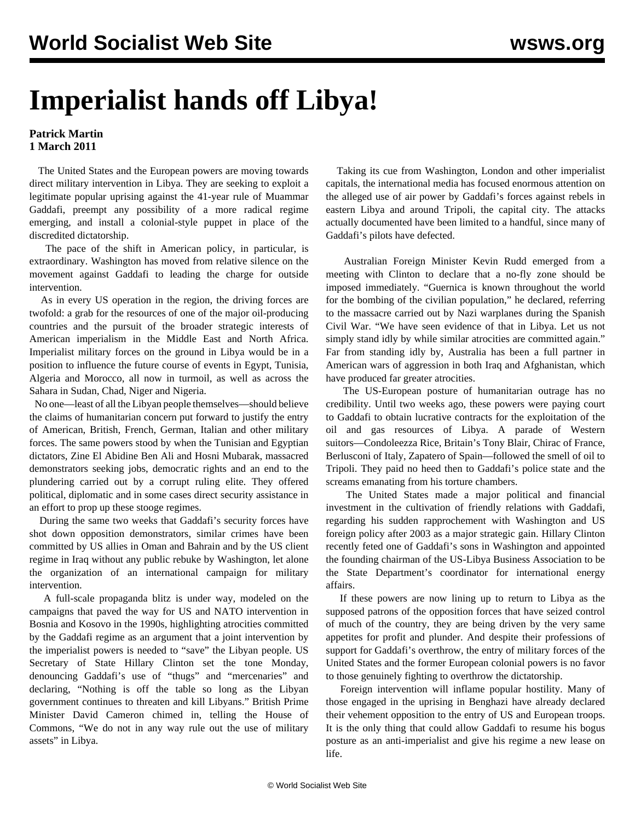## **Imperialist hands off Libya!**

## **Patrick Martin 1 March 2011**

 The United States and the European powers are moving towards direct military intervention in Libya. They are seeking to exploit a legitimate popular uprising against the 41-year rule of Muammar Gaddafi, preempt any possibility of a more radical regime emerging, and install a colonial-style puppet in place of the discredited dictatorship.

 The pace of the shift in American policy, in particular, is extraordinary. Washington has moved from relative silence on the movement against Gaddafi to leading the charge for outside intervention.

 As in every US operation in the region, the driving forces are twofold: a grab for the resources of one of the major oil-producing countries and the pursuit of the broader strategic interests of American imperialism in the Middle East and North Africa. Imperialist military forces on the ground in Libya would be in a position to influence the future course of events in Egypt, Tunisia, Algeria and Morocco, all now in turmoil, as well as across the Sahara in Sudan, Chad, Niger and Nigeria.

 No one—least of all the Libyan people themselves—should believe the claims of humanitarian concern put forward to justify the entry of American, British, French, German, Italian and other military forces. The same powers stood by when the Tunisian and Egyptian dictators, Zine El Abidine Ben Ali and Hosni Mubarak, massacred demonstrators seeking jobs, democratic rights and an end to the plundering carried out by a corrupt ruling elite. They offered political, diplomatic and in some cases direct security assistance in an effort to prop up these stooge regimes.

 During the same two weeks that Gaddafi's security forces have shot down opposition demonstrators, similar crimes have been committed by US allies in Oman and Bahrain and by the US client regime in Iraq without any public rebuke by Washington, let alone the organization of an international campaign for military intervention.

 A full-scale propaganda blitz is under way, modeled on the campaigns that paved the way for US and NATO intervention in Bosnia and Kosovo in the 1990s, highlighting atrocities committed by the Gaddafi regime as an argument that a joint intervention by the imperialist powers is needed to "save" the Libyan people. US Secretary of State Hillary Clinton set the tone Monday, denouncing Gaddafi's use of "thugs" and "mercenaries" and declaring, "Nothing is off the table so long as the Libyan government continues to threaten and kill Libyans." British Prime Minister David Cameron chimed in, telling the House of Commons, "We do not in any way rule out the use of military assets" in Libya.

 Taking its cue from Washington, London and other imperialist capitals, the international media has focused enormous attention on the alleged use of air power by Gaddafi's forces against rebels in eastern Libya and around Tripoli, the capital city. The attacks actually documented have been limited to a handful, since many of Gaddafi's pilots have defected.

 Australian Foreign Minister Kevin Rudd emerged from a meeting with Clinton to declare that a no-fly zone should be imposed immediately. "Guernica is known throughout the world for the bombing of the civilian population," he declared, referring to the massacre carried out by Nazi warplanes during the Spanish Civil War. "We have seen evidence of that in Libya. Let us not simply stand idly by while similar atrocities are committed again." Far from standing idly by, Australia has been a full partner in American wars of aggression in both Iraq and Afghanistan, which have produced far greater atrocities.

 The US-European posture of humanitarian outrage has no credibility. Until two weeks ago, these powers were paying court to Gaddafi to obtain lucrative contracts for the exploitation of the oil and gas resources of Libya. A parade of Western suitors—Condoleezza Rice, Britain's Tony Blair, Chirac of France, Berlusconi of Italy, Zapatero of Spain—followed the smell of oil to Tripoli. They paid no heed then to Gaddafi's police state and the screams emanating from his torture chambers.

 The United States made a major political and financial investment in the cultivation of friendly relations with Gaddafi, regarding his sudden rapprochement with Washington and US foreign policy after 2003 as a major strategic gain. Hillary Clinton recently feted one of Gaddafi's sons in Washington and appointed the founding chairman of the US-Libya Business Association to be the State Department's coordinator for international energy affairs.

 If these powers are now lining up to return to Libya as the supposed patrons of the opposition forces that have seized control of much of the country, they are being driven by the very same appetites for profit and plunder. And despite their professions of support for Gaddafi's overthrow, the entry of military forces of the United States and the former European colonial powers is no favor to those genuinely fighting to overthrow the dictatorship.

 Foreign intervention will inflame popular hostility. Many of those engaged in the uprising in Benghazi have already declared their vehement opposition to the entry of US and European troops. It is the only thing that could allow Gaddafi to resume his bogus posture as an anti-imperialist and give his regime a new lease on life.